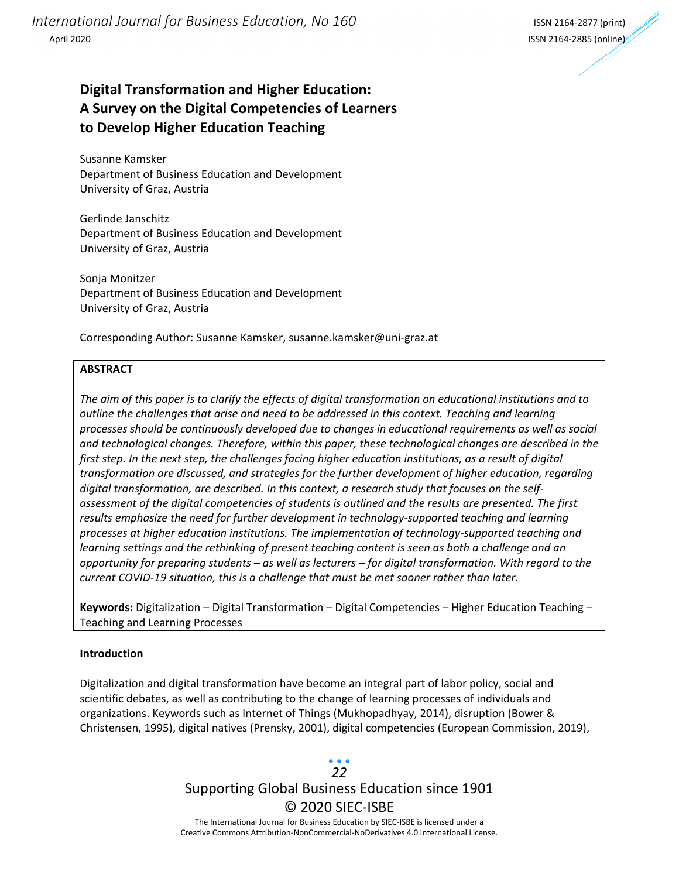*International Journal for Business Education, No 160* ISSN <sup>2164</sup>‐<sup>2877</sup> (print) April 2020 ISSN 2164‐2885 (online)



## **Digital Transformation and Higher Education: A Survey on the Digital Competencies of Learners to Develop Higher Education Teaching**

Susanne Kamsker Department of Business Education and Development University of Graz, Austria

Gerlinde Janschitz Department of Business Education and Development University of Graz, Austria

Sonja Monitzer Department of Business Education and Development University of Graz, Austria

Corresponding Author: Susanne Kamsker, susanne.kamsker@uni‐graz.at

#### **ABSTRACT**

The aim of this paper is to clarify the effects of digital transformation on educational institutions and to *outline the challenges that arise and need to be addressed in this context. Teaching and learning processes should be continuously developed due to changes in educational requirements as well as social and technological changes. Therefore, within this paper, these technological changes are described in the first step. In the next step, the challenges facing higher education institutions, as a result of digital transformation are discussed, and strategies for the further development of higher education, regarding digital transformation, are described. In this context, a research study that focuses on the self‐ assessment of the digital competencies of students is outlined and the results are presented. The first results emphasize the need for further development in technology‐supported teaching and learning processes at higher education institutions. The implementation of technology‐supported teaching and learning settings and the rethinking of present teaching content is seen as both a challenge and an* opportunity for preparing students – as well as lecturers – for digital transformation. With regard to the *current COVID‐19 situation, this is a challenge that must be met sooner rather than later.*

**Keywords:** Digitalization – Digital Transformation – Digital Competencies – Higher Education Teaching – Teaching and Learning Processes

#### **Introduction**

Digitalization and digital transformation have become an integral part of labor policy, social and scientific debates, as well as contributing to the change of learning processes of individuals and organizations. Keywords such as Internet of Things (Mukhopadhyay, 2014), disruption (Bower & Christensen, 1995), digital natives (Prensky, 2001), digital competencies (European Commission, 2019),

> Supporting Global Business Education since 1901 © 2020 SIEC‐ISBE The International Journal for Business Education by SIEC‐ISBE is licensed under a *22*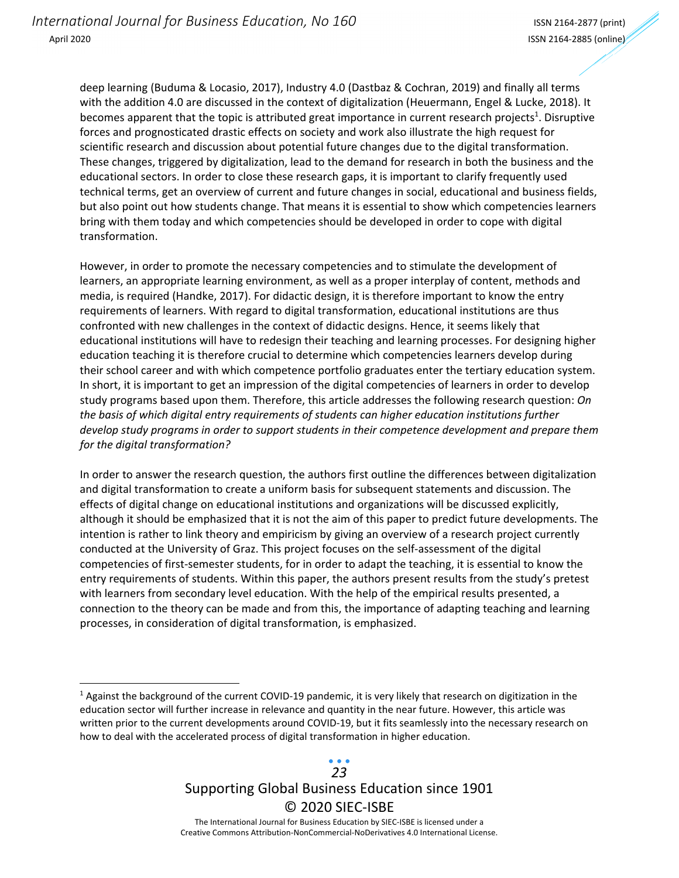<u> 1989 - Johann Stein, fransk politik (d. 1989)</u>

deep learning (Buduma & Locasio, 2017), Industry 4.0 (Dastbaz & Cochran, 2019) and finally all terms with the addition 4.0 are discussed in the context of digitalization (Heuermann, Engel & Lucke, 2018). It becomes apparent that the topic is attributed great importance in current research projects<sup>1</sup>. Disruptive forces and prognosticated drastic effects on society and work also illustrate the high request for scientific research and discussion about potential future changes due to the digital transformation. These changes, triggered by digitalization, lead to the demand for research in both the business and the educational sectors. In order to close these research gaps, it is important to clarify frequently used technical terms, get an overview of current and future changes in social, educational and business fields, but also point out how students change. That means it is essential to show which competencies learners bring with them today and which competencies should be developed in order to cope with digital transformation.

However, in order to promote the necessary competencies and to stimulate the development of learners, an appropriate learning environment, as well as a proper interplay of content, methods and media, is required (Handke, 2017). For didactic design, it is therefore important to know the entry requirements of learners. With regard to digital transformation, educational institutions are thus confronted with new challenges in the context of didactic designs. Hence, it seems likely that educational institutions will have to redesign their teaching and learning processes. For designing higher education teaching it is therefore crucial to determine which competencies learners develop during their school career and with which competence portfolio graduates enter the tertiary education system. In short, it is important to get an impression of the digital competencies of learners in order to develop study programs based upon them. Therefore, this article addresses the following research question: *On the basis of which digital entry requirements of students can higher education institutions further develop study programs in order to support students in their competence development and prepare them for the digital transformation?*

In order to answer the research question, the authors first outline the differences between digitalization and digital transformation to create a uniform basis for subsequent statements and discussion. The effects of digital change on educational institutions and organizations will be discussed explicitly, although it should be emphasized that it is not the aim of this paper to predict future developments. The intention is rather to link theory and empiricism by giving an overview of a research project currently conducted at the University of Graz. This project focuses on the self‐assessment of the digital competencies of first‐semester students, for in order to adapt the teaching, it is essential to know the entry requirements of students. Within this paper, the authors present results from the study's pretest with learners from secondary level education. With the help of the empirical results presented, a connection to the theory can be made and from this, the importance of adapting teaching and learning processes, in consideration of digital transformation, is emphasized.

### Supporting Global Business Education since 1901 © 2020 SIEC‐ISBE The International Journal for Business Education by SIEC‐ISBE is licensed under a *23*

<sup>&</sup>lt;sup>1</sup> Against the background of the current COVID-19 pandemic, it is very likely that research on digitization in the education sector will further increase in relevance and quantity in the near future. However, this article was written prior to the current developments around COVID-19, but it fits seamlessly into the necessary research on how to deal with the accelerated process of digital transformation in higher education.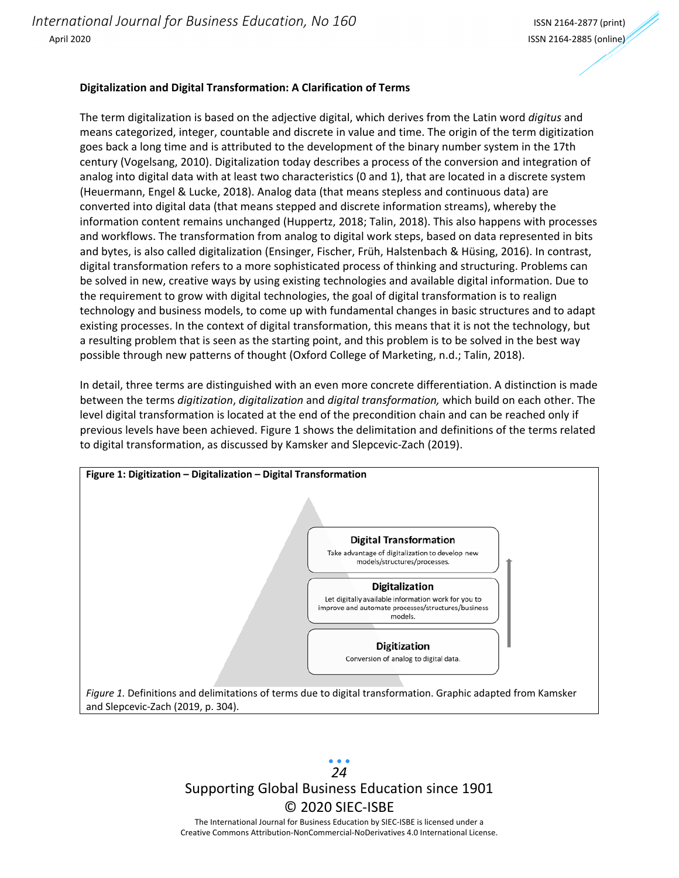#### **Digitalization and Digital Transformation: A Clarification of Terms**

The term digitalization is based on the adjective digital, which derives from the Latin word *digitus* and means categorized, integer, countable and discrete in value and time. The origin of the term digitization goes back a long time and is attributed to the development of the binary number system in the 17th century (Vogelsang, 2010). Digitalization today describes a process of the conversion and integration of analog into digital data with at least two characteristics (0 and 1), that are located in a discrete system (Heuermann, Engel & Lucke, 2018). Analog data (that means stepless and continuous data) are converted into digital data (that means stepped and discrete information streams), whereby the information content remains unchanged (Huppertz, 2018; Talin, 2018). This also happens with processes and workflows. The transformation from analog to digital work steps, based on data represented in bits and bytes, is also called digitalization (Ensinger, Fischer, Früh, Halstenbach & Hüsing, 2016). In contrast, digital transformation refers to a more sophisticated process of thinking and structuring. Problems can be solved in new, creative ways by using existing technologies and available digital information. Due to the requirement to grow with digital technologies, the goal of digital transformation is to realign technology and business models, to come up with fundamental changes in basic structures and to adapt existing processes. In the context of digital transformation, this means that it is not the technology, but a resulting problem that is seen as the starting point, and this problem is to be solved in the best way possible through new patterns of thought (Oxford College of Marketing, n.d.; Talin, 2018).

In detail, three terms are distinguished with an even more concrete differentiation. A distinction is made between the terms *digitization*, *digitalization* and *digital transformation,* which build on each other. The level digital transformation is located at the end of the precondition chain and can be reached only if previous levels have been achieved. Figure 1 shows the delimitation and definitions of the terms related to digital transformation, as discussed by Kamsker and Slepcevic‐Zach (2019).



Supporting Global Business Education since 1901 © 2020 SIEC‐ISBE The International Journal for Business Education by SIEC‐ISBE is licensed under a *24*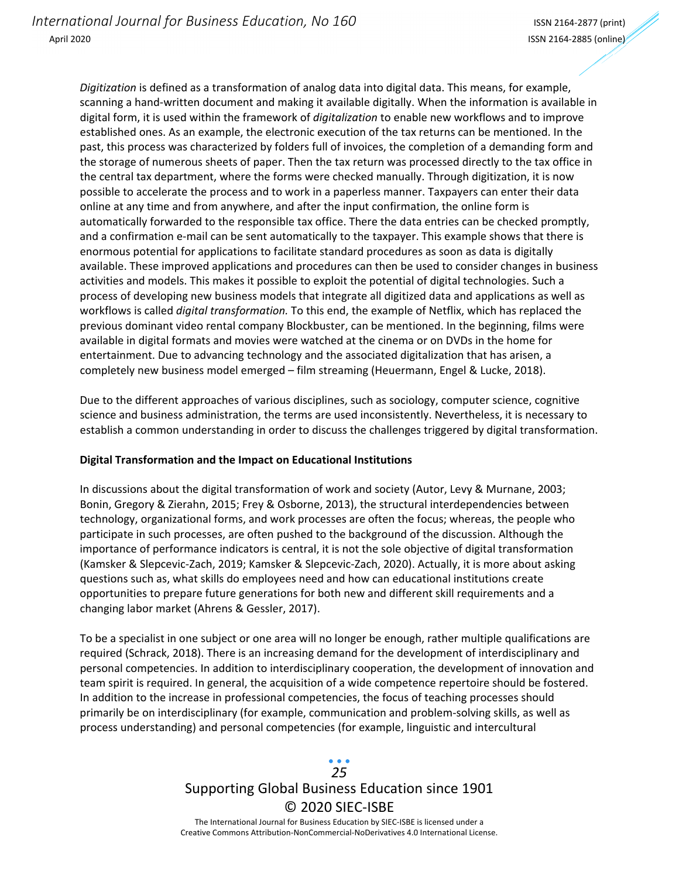*Digitization* is defined as a transformation of analog data into digital data. This means, for example, scanning a hand‐written document and making it available digitally. When the information is available in digital form, it is used within the framework of *digitalization* to enable new workflows and to improve established ones. As an example, the electronic execution of the tax returns can be mentioned. In the past, this process was characterized by folders full of invoices, the completion of a demanding form and the storage of numerous sheets of paper. Then the tax return was processed directly to the tax office in the central tax department, where the forms were checked manually. Through digitization, it is now possible to accelerate the process and to work in a paperless manner. Taxpayers can enter their data online at any time and from anywhere, and after the input confirmation, the online form is automatically forwarded to the responsible tax office. There the data entries can be checked promptly, and a confirmation e-mail can be sent automatically to the taxpayer. This example shows that there is enormous potential for applications to facilitate standard procedures as soon as data is digitally available. These improved applications and procedures can then be used to consider changes in business activities and models. This makes it possible to exploit the potential of digital technologies. Such a process of developing new business models that integrate all digitized data and applications as well as workflows is called *digital transformation.* To this end, the example of Netflix, which has replaced the previous dominant video rental company Blockbuster, can be mentioned. In the beginning, films were available in digital formats and movies were watched at the cinema or on DVDs in the home for entertainment. Due to advancing technology and the associated digitalization that has arisen, a completely new business model emerged – film streaming (Heuermann, Engel & Lucke, 2018).

Due to the different approaches of various disciplines, such as sociology, computer science, cognitive science and business administration, the terms are used inconsistently. Nevertheless, it is necessary to establish a common understanding in order to discuss the challenges triggered by digital transformation.

#### **Digital Transformation and the Impact on Educational Institutions**

In discussions about the digital transformation of work and society (Autor, Levy & Murnane, 2003; Bonin, Gregory & Zierahn, 2015; Frey & Osborne, 2013), the structural interdependencies between technology, organizational forms, and work processes are often the focus; whereas, the people who participate in such processes, are often pushed to the background of the discussion. Although the importance of performance indicators is central, it is not the sole objective of digital transformation (Kamsker & Slepcevic‐Zach, 2019; Kamsker & Slepcevic‐Zach, 2020). Actually, it is more about asking questions such as, what skills do employees need and how can educational institutions create opportunities to prepare future generations for both new and different skill requirements and a changing labor market (Ahrens & Gessler, 2017).

To be a specialist in one subject or one area will no longer be enough, rather multiple qualifications are required (Schrack, 2018). There is an increasing demand for the development of interdisciplinary and personal competencies. In addition to interdisciplinary cooperation, the development of innovation and team spirit is required. In general, the acquisition of a wide competence repertoire should be fostered. In addition to the increase in professional competencies, the focus of teaching processes should primarily be on interdisciplinary (for example, communication and problem‐solving skills, as well as process understanding) and personal competencies (for example, linguistic and intercultural

## Supporting Global Business Education since 1901 © 2020 SIEC‐ISBE The International Journal for Business Education by SIEC‐ISBE is licensed under a *25*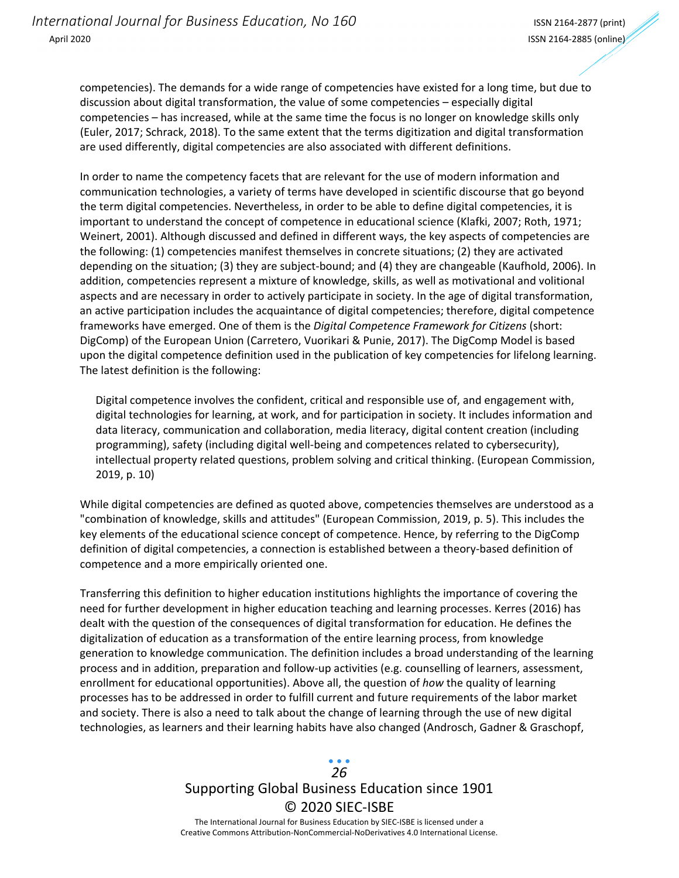competencies). The demands for a wide range of competencies have existed for a long time, but due to discussion about digital transformation, the value of some competencies – especially digital competencies – has increased, while at the same time the focus is no longer on knowledge skills only (Euler, 2017; Schrack, 2018). To the same extent that the terms digitization and digital transformation are used differently, digital competencies are also associated with different definitions.

In order to name the competency facets that are relevant for the use of modern information and communication technologies, a variety of terms have developed in scientific discourse that go beyond the term digital competencies. Nevertheless, in order to be able to define digital competencies, it is important to understand the concept of competence in educational science (Klafki, 2007; Roth, 1971; Weinert, 2001). Although discussed and defined in different ways, the key aspects of competencies are the following: (1) competencies manifest themselves in concrete situations; (2) they are activated depending on the situation; (3) they are subject‐bound; and (4) they are changeable (Kaufhold, 2006). In addition, competencies represent a mixture of knowledge, skills, as well as motivational and volitional aspects and are necessary in order to actively participate in society. In the age of digital transformation, an active participation includes the acquaintance of digital competencies; therefore, digital competence frameworks have emerged. One of them is the *Digital Competence Framework for Citizens* (short: DigComp) of the European Union (Carretero, Vuorikari & Punie, 2017). The DigComp Model is based upon the digital competence definition used in the publication of key competencies for lifelong learning. The latest definition is the following:

Digital competence involves the confident, critical and responsible use of, and engagement with, digital technologies for learning, at work, and for participation in society. It includes information and data literacy, communication and collaboration, media literacy, digital content creation (including programming), safety (including digital well-being and competences related to cybersecurity), intellectual property related questions, problem solving and critical thinking. (European Commission, 2019, p. 10)

While digital competencies are defined as quoted above, competencies themselves are understood as a "combination of knowledge, skills and attitudes" (European Commission, 2019, p. 5). This includes the key elements of the educational science concept of competence. Hence, by referring to the DigComp definition of digital competencies, a connection is established between a theory‐based definition of competence and a more empirically oriented one.

Transferring this definition to higher education institutions highlights the importance of covering the need for further development in higher education teaching and learning processes. Kerres (2016) has dealt with the question of the consequences of digital transformation for education. He defines the digitalization of education as a transformation of the entire learning process, from knowledge generation to knowledge communication. The definition includes a broad understanding of the learning process and in addition, preparation and follow‐up activities (e.g. counselling of learners, assessment, enrollment for educational opportunities). Above all, the question of *how* the quality of learning processes has to be addressed in order to fulfill current and future requirements of the labor market and society. There is also a need to talk about the change of learning through the use of new digital technologies, as learners and their learning habits have also changed (Androsch, Gadner & Graschopf,

# Supporting Global Business Education since 1901 © 2020 SIEC‐ISBE *26*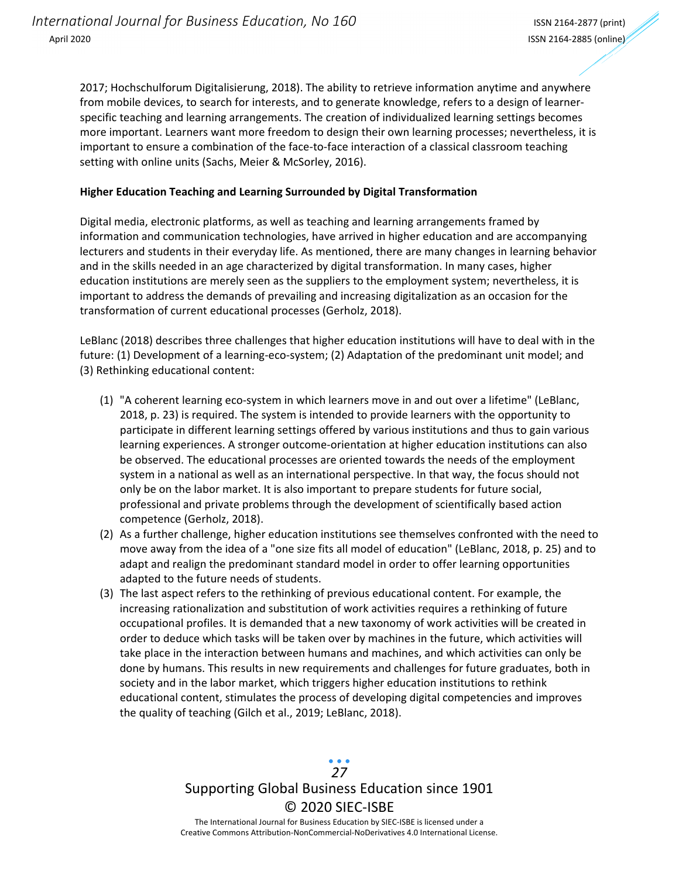2017; Hochschulforum Digitalisierung, 2018). The ability to retrieve information anytime and anywhere from mobile devices, to search for interests, and to generate knowledge, refers to a design of learner‐ specific teaching and learning arrangements. The creation of individualized learning settings becomes more important. Learners want more freedom to design their own learning processes; nevertheless, it is important to ensure a combination of the face-to-face interaction of a classical classroom teaching setting with online units (Sachs, Meier & McSorley, 2016).

#### **Higher Education Teaching and Learning Surrounded by Digital Transformation**

Digital media, electronic platforms, as well as teaching and learning arrangements framed by information and communication technologies, have arrived in higher education and are accompanying lecturers and students in their everyday life. As mentioned, there are many changes in learning behavior and in the skills needed in an age characterized by digital transformation. In many cases, higher education institutions are merely seen as the suppliers to the employment system; nevertheless, it is important to address the demands of prevailing and increasing digitalization as an occasion for the transformation of current educational processes (Gerholz, 2018).

LeBlanc (2018) describes three challenges that higher education institutions will have to deal with in the future: (1) Development of a learning-eco-system; (2) Adaptation of the predominant unit model; and (3) Rethinking educational content:

- (1) "A coherent learning eco‐system in which learners move in and out over a lifetime" (LeBlanc, 2018, p. 23) is required. The system is intended to provide learners with the opportunity to participate in different learning settings offered by various institutions and thus to gain various learning experiences. A stronger outcome‐orientation at higher education institutions can also be observed. The educational processes are oriented towards the needs of the employment system in a national as well as an international perspective. In that way, the focus should not only be on the labor market. It is also important to prepare students for future social, professional and private problems through the development of scientifically based action competence (Gerholz, 2018).
- (2) As a further challenge, higher education institutions see themselves confronted with the need to move away from the idea of a "one size fits all model of education" (LeBlanc, 2018, p. 25) and to adapt and realign the predominant standard model in order to offer learning opportunities adapted to the future needs of students.
- (3) The last aspect refers to the rethinking of previous educational content. For example, the increasing rationalization and substitution of work activities requires a rethinking of future occupational profiles. It is demanded that a new taxonomy of work activities will be created in order to deduce which tasks will be taken over by machines in the future, which activities will take place in the interaction between humans and machines, and which activities can only be done by humans. This results in new requirements and challenges for future graduates, both in society and in the labor market, which triggers higher education institutions to rethink educational content, stimulates the process of developing digital competencies and improves the quality of teaching (Gilch et al., 2019; LeBlanc, 2018).

## Supporting Global Business Education since 1901 © 2020 SIEC‐ISBE The International Journal for Business Education by SIEC‐ISBE is licensed under a *27*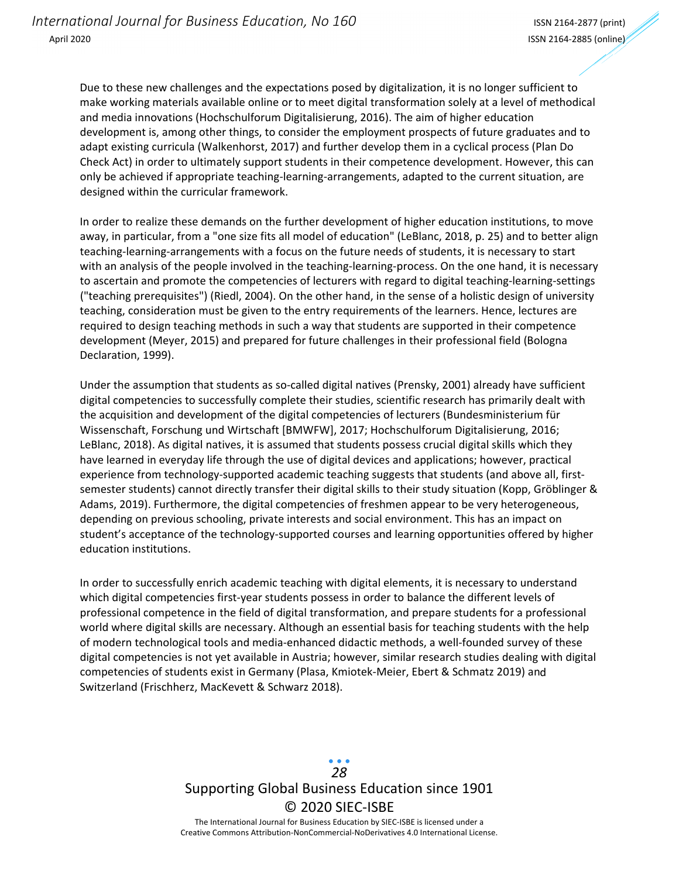Due to these new challenges and the expectations posed by digitalization, it is no longer sufficient to make working materials available online or to meet digital transformation solely at a level of methodical and media innovations (Hochschulforum Digitalisierung, 2016). The aim of higher education development is, among other things, to consider the employment prospects of future graduates and to adapt existing curricula (Walkenhorst, 2017) and further develop them in a cyclical process (Plan Do Check Act) in order to ultimately support students in their competence development. However, this can only be achieved if appropriate teaching-learning-arrangements, adapted to the current situation, are designed within the curricular framework.

In order to realize these demands on the further development of higher education institutions, to move away, in particular, from a "one size fits all model of education" (LeBlanc, 2018, p. 25) and to better align teaching‐learning‐arrangements with a focus on the future needs of students, it is necessary to start with an analysis of the people involved in the teaching-learning-process. On the one hand, it is necessary to ascertain and promote the competencies of lecturers with regard to digital teaching-learning-settings ("teaching prerequisites") (Riedl, 2004). On the other hand, in the sense of a holistic design of university teaching, consideration must be given to the entry requirements of the learners. Hence, lectures are required to design teaching methods in such a way that students are supported in their competence development (Meyer, 2015) and prepared for future challenges in their professional field (Bologna Declaration, 1999).

Under the assumption that students as so-called digital natives (Prensky, 2001) already have sufficient digital competencies to successfully complete their studies, scientific research has primarily dealt with the acquisition and development of the digital competencies of lecturers (Bundesministerium für Wissenschaft, Forschung und Wirtschaft [BMWFW], 2017; Hochschulforum Digitalisierung, 2016; LeBlanc, 2018). As digital natives, it is assumed that students possess crucial digital skills which they have learned in everyday life through the use of digital devices and applications; however, practical experience from technology-supported academic teaching suggests that students (and above all, firstsemester students) cannot directly transfer their digital skills to their study situation (Kopp, Gröblinger & Adams, 2019). Furthermore, the digital competencies of freshmen appear to be very heterogeneous, depending on previous schooling, private interests and social environment. This has an impact on student's acceptance of the technology-supported courses and learning opportunities offered by higher education institutions.

In order to successfully enrich academic teaching with digital elements, it is necessary to understand which digital competencies first-year students possess in order to balance the different levels of professional competence in the field of digital transformation, and prepare students for a professional world where digital skills are necessary. Although an essential basis for teaching students with the help of modern technological tools and media‐enhanced didactic methods, a well‐founded survey of these digital competencies is not yet available in Austria; however, similar research studies dealing with digital competencies of students exist in Germany (Plasa, Kmiotek‐Meier, Ebert & Schmatz 2019) and Switzerland (Frischherz, MacKevett & Schwarz 2018).

> Supporting Global Business Education since 1901 © 2020 SIEC‐ISBE The International Journal for Business Education by SIEC‐ISBE is licensed under a *28*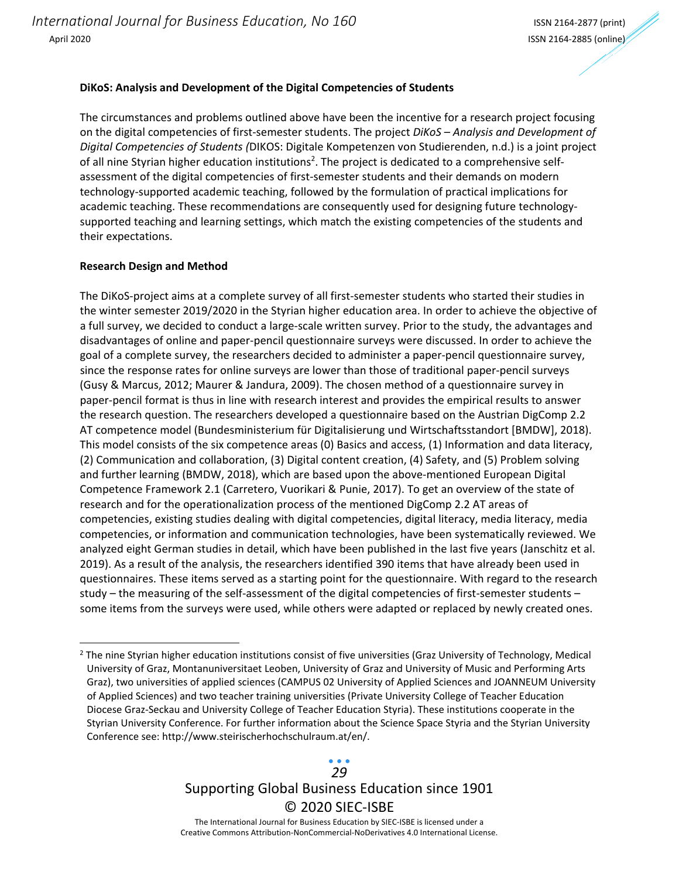#### **DiKoS: Analysis and Development of the Digital Competencies of Students**

The circumstances and problems outlined above have been the incentive for a research project focusing on the digital competencies of first‐semester students. The project *DiKoS – Analysis and Development of Digital Competencies of Students (*DIKOS: Digitale Kompetenzen von Studierenden, n.d.) is a joint project of all nine Styrian higher education institutions<sup>2</sup>. The project is dedicated to a comprehensive selfassessment of the digital competencies of first-semester students and their demands on modern technology‐supported academic teaching, followed by the formulation of practical implications for academic teaching. These recommendations are consequently used for designing future technologysupported teaching and learning settings, which match the existing competencies of the students and their expectations.

#### **Research Design and Method**

The DiKoS‐project aims at a complete survey of all first‐semester students who started their studies in the winter semester 2019/2020 in the Styrian higher education area. In order to achieve the objective of a full survey, we decided to conduct a large‐scale written survey. Prior to the study, the advantages and disadvantages of online and paper‐pencil questionnaire surveys were discussed. In order to achieve the goal of a complete survey, the researchers decided to administer a paper‐pencil questionnaire survey, since the response rates for online surveys are lower than those of traditional paper‐pencil surveys (Gusy & Marcus, 2012; Maurer & Jandura, 2009). The chosen method of a questionnaire survey in paper‐pencil format is thus in line with research interest and provides the empirical results to answer the research question. The researchers developed a questionnaire based on the Austrian DigComp 2.2 AT competence model (Bundesministerium für Digitalisierung und Wirtschaftsstandort [BMDW], 2018). This model consists of the six competence areas (0) Basics and access, (1) Information and data literacy, (2) Communication and collaboration, (3) Digital content creation, (4) Safety, and (5) Problem solving and further learning (BMDW, 2018), which are based upon the above-mentioned European Digital Competence Framework 2.1 (Carretero, Vuorikari & Punie, 2017). To get an overview of the state of research and for the operationalization process of the mentioned DigComp 2.2 AT areas of competencies, existing studies dealing with digital competencies, digital literacy, media literacy, media competencies, or information and communication technologies, have been systematically reviewed. We analyzed eight German studies in detail, which have been published in the last five years (Janschitz et al. 2019). As a result of the analysis, the researchers identified 390 items that have already been used in questionnaires. These items served as a starting point for the questionnaire. With regard to the research study – the measuring of the self-assessment of the digital competencies of first-semester students – some items from the surveys were used, while others were adapted or replaced by newly created ones.

Supporting Global Business Education since 1901 © 2020 SIEC‐ISBE The International Journal for Business Education by SIEC‐ISBE is licensed under a *29*

 $<sup>2</sup>$  The nine Styrian higher education institutions consist of five universities (Graz University of Technology, Medical</sup> University of Graz, Montanuniversitaet Leoben, University of Graz and University of Music and Performing Arts Graz), two universities of applied sciences (CAMPUS 02 University of Applied Sciences and JOANNEUM University of Applied Sciences) and two teacher training universities (Private University College of Teacher Education Diocese Graz‐Seckau and University College of Teacher Education Styria). These institutions cooperate in the Styrian University Conference. For further information about the Science Space Styria and the Styrian University Conference see: http://www.steirischerhochschulraum.at/en/.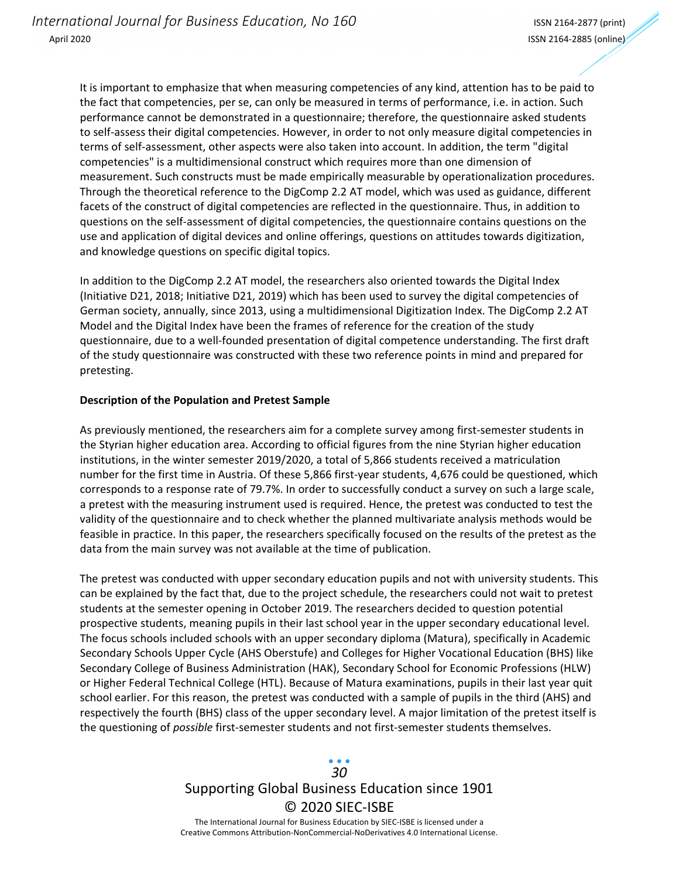It is important to emphasize that when measuring competencies of any kind, attention has to be paid to the fact that competencies, per se, can only be measured in terms of performance, i.e. in action. Such performance cannot be demonstrated in a questionnaire; therefore, the questionnaire asked students to self‐assess their digital competencies. However, in order to not only measure digital competencies in terms of self‐assessment, other aspects were also taken into account. In addition, the term "digital competencies" is a multidimensional construct which requires more than one dimension of measurement. Such constructs must be made empirically measurable by operationalization procedures. Through the theoretical reference to the DigComp 2.2 AT model, which was used as guidance, different facets of the construct of digital competencies are reflected in the questionnaire. Thus, in addition to questions on the self‐assessment of digital competencies, the questionnaire contains questions on the use and application of digital devices and online offerings, questions on attitudes towards digitization, and knowledge questions on specific digital topics.

In addition to the DigComp 2.2 AT model, the researchers also oriented towards the Digital Index (Initiative D21, 2018; Initiative D21, 2019) which has been used to survey the digital competencies of German society, annually, since 2013, using a multidimensional Digitization Index. The DigComp 2.2 AT Model and the Digital Index have been the frames of reference for the creation of the study questionnaire, due to a well‐founded presentation of digital competence understanding. The first draft of the study questionnaire was constructed with these two reference points in mind and prepared for pretesting.

#### **Description of the Population and Pretest Sample**

As previously mentioned, the researchers aim for a complete survey among first‐semester students in the Styrian higher education area. According to official figures from the nine Styrian higher education institutions, in the winter semester 2019/2020, a total of 5,866 students received a matriculation number for the first time in Austria. Of these 5,866 first‐year students, 4,676 could be questioned, which corresponds to a response rate of 79.7%. In order to successfully conduct a survey on such a large scale, a pretest with the measuring instrument used is required. Hence, the pretest was conducted to test the validity of the questionnaire and to check whether the planned multivariate analysis methods would be feasible in practice. In this paper, the researchers specifically focused on the results of the pretest as the data from the main survey was not available at the time of publication.

The pretest was conducted with upper secondary education pupils and not with university students. This can be explained by the fact that, due to the project schedule, the researchers could not wait to pretest students at the semester opening in October 2019. The researchers decided to question potential prospective students, meaning pupils in their last school year in the upper secondary educational level. The focus schools included schools with an upper secondary diploma (Matura), specifically in Academic Secondary Schools Upper Cycle (AHS Oberstufe) and Colleges for Higher Vocational Education (BHS) like Secondary College of Business Administration (HAK), Secondary School for Economic Professions (HLW) or Higher Federal Technical College (HTL). Because of Matura examinations, pupils in their last year quit school earlier. For this reason, the pretest was conducted with a sample of pupils in the third (AHS) and respectively the fourth (BHS) class of the upper secondary level. A major limitation of the pretest itself is the questioning of *possible* first‐semester students and not first‐semester students themselves.

# Supporting Global Business Education since 1901 © 2020 SIEC‐ISBE *30*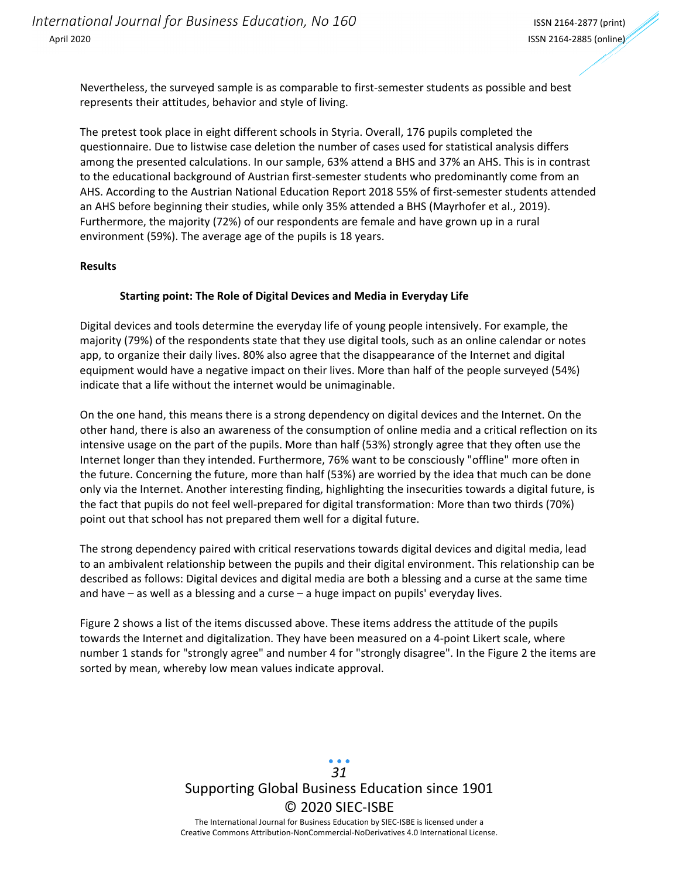Nevertheless, the surveyed sample is as comparable to first‐semester students as possible and best represents their attitudes, behavior and style of living.

The pretest took place in eight different schools in Styria. Overall, 176 pupils completed the questionnaire. Due to listwise case deletion the number of cases used for statistical analysis differs among the presented calculations. In our sample, 63% attend a BHS and 37% an AHS. This is in contrast to the educational background of Austrian first-semester students who predominantly come from an AHS. According to the Austrian National Education Report 2018 55% of first‐semester students attended an AHS before beginning their studies, while only 35% attended a BHS (Mayrhofer et al., 2019). Furthermore, the majority (72%) of our respondents are female and have grown up in a rural environment (59%). The average age of the pupils is 18 years.

#### **Results**

#### **Starting point: The Role of Digital Devices and Media in Everyday Life**

Digital devices and tools determine the everyday life of young people intensively. For example, the majority (79%) of the respondents state that they use digital tools, such as an online calendar or notes app, to organize their daily lives. 80% also agree that the disappearance of the Internet and digital equipment would have a negative impact on their lives. More than half of the people surveyed (54%) indicate that a life without the internet would be unimaginable.

On the one hand, this means there is a strong dependency on digital devices and the Internet. On the other hand, there is also an awareness of the consumption of online media and a critical reflection on its intensive usage on the part of the pupils. More than half (53%) strongly agree that they often use the Internet longer than they intended. Furthermore, 76% want to be consciously "offline" more often in the future. Concerning the future, more than half (53%) are worried by the idea that much can be done only via the Internet. Another interesting finding, highlighting the insecurities towards a digital future, is the fact that pupils do not feel well‐prepared for digital transformation: More than two thirds (70%) point out that school has not prepared them well for a digital future.

The strong dependency paired with critical reservations towards digital devices and digital media, lead to an ambivalent relationship between the pupils and their digital environment. This relationship can be described as follows: Digital devices and digital media are both a blessing and a curse at the same time and have – as well as a blessing and a curse – a huge impact on pupils' everyday lives.

Figure 2 shows a list of the items discussed above. These items address the attitude of the pupils towards the Internet and digitalization. They have been measured on a 4‐point Likert scale, where number 1 stands for "strongly agree" and number 4 for "strongly disagree". In the Figure 2 the items are sorted by mean, whereby low mean values indicate approval.

> Supporting Global Business Education since 1901 © 2020 SIEC‐ISBE The International Journal for Business Education by SIEC‐ISBE is licensed under a *31*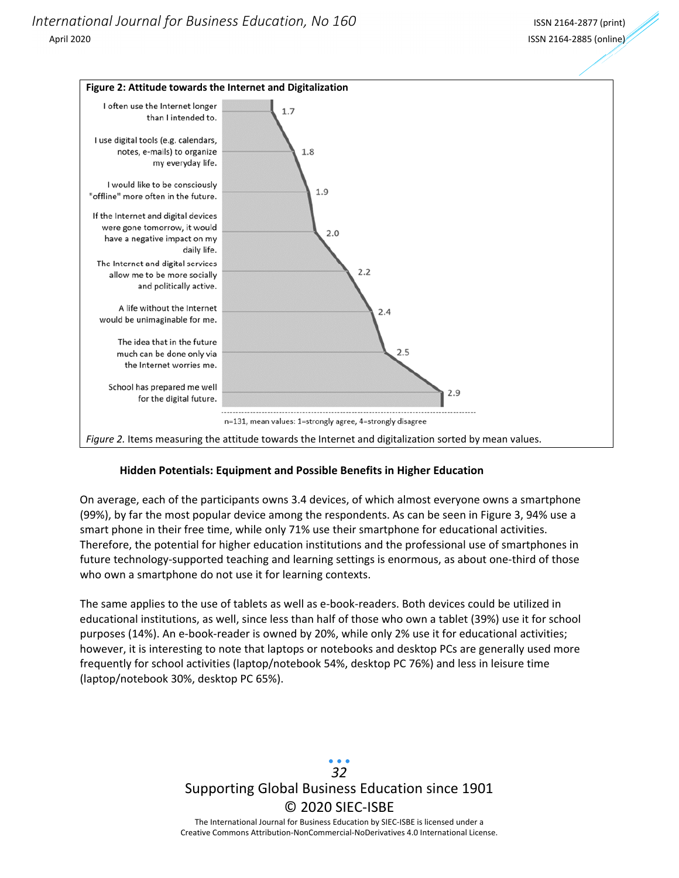

#### **Hidden Potentials: Equipment and Possible Benefits in Higher Education**

On average, each of the participants owns 3.4 devices, of which almost everyone owns a smartphone (99%), by far the most popular device among the respondents. As can be seen in Figure 3, 94% use a smart phone in their free time, while only 71% use their smartphone for educational activities. Therefore, the potential for higher education institutions and the professional use of smartphones in future technology-supported teaching and learning settings is enormous, as about one-third of those who own a smartphone do not use it for learning contexts.

The same applies to the use of tablets as well as e‐book‐readers. Both devices could be utilized in educational institutions, as well, since less than half of those who own a tablet (39%) use it for school purposes (14%). An e-book-reader is owned by 20%, while only 2% use it for educational activities; however, it is interesting to note that laptops or notebooks and desktop PCs are generally used more frequently for school activities (laptop/notebook 54%, desktop PC 76%) and less in leisure time (laptop/notebook 30%, desktop PC 65%).

> Supporting Global Business Education since 1901 © 2020 SIEC‐ISBE The International Journal for Business Education by SIEC‐ISBE is licensed under a Creative Commons Attribution‐NonCommercial‐NoDerivatives 4.0 International License. *32*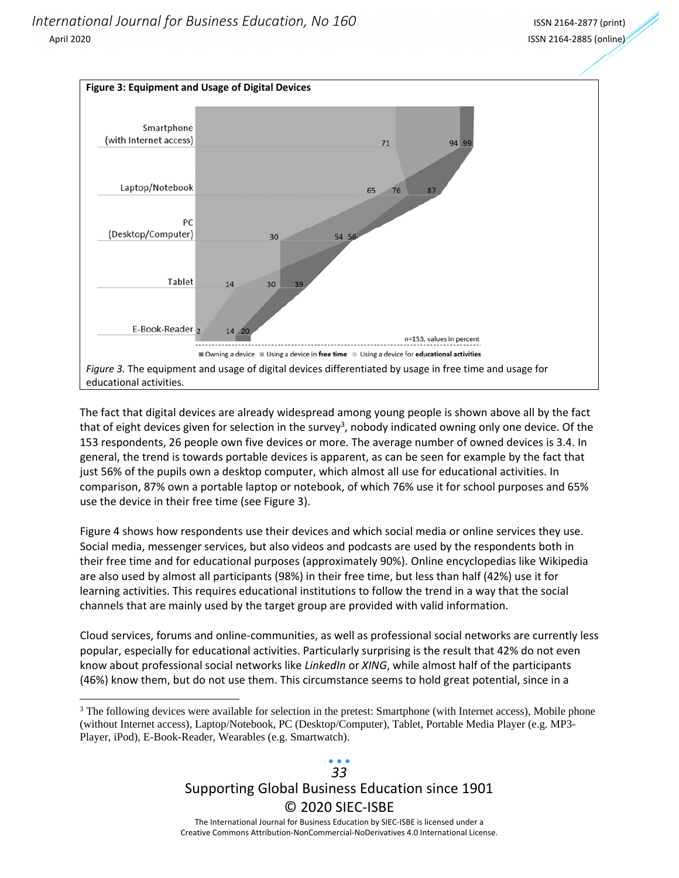<u> 1989 - Johann Stein, fransk politik (d. 1989)</u>



The fact that digital devices are already widespread among young people is shown above all by the fact that of eight devices given for selection in the survey<sup>3</sup>, nobody indicated owning only one device. Of the 153 respondents, 26 people own five devices or more. The average number of owned devices is 3.4. In general, the trend is towards portable devices is apparent, as can be seen for example by the fact that just 56% of the pupils own a desktop computer, which almost all use for educational activities. In comparison, 87% own a portable laptop or notebook, of which 76% use it for school purposes and 65% use the device in their free time (see Figure 3).

Figure 4 shows how respondents use their devices and which social media or online services they use. Social media, messenger services, but also videos and podcasts are used by the respondents both in their free time and for educational purposes (approximately 90%). Online encyclopedias like Wikipedia are also used by almost all participants (98%) in their free time, but less than half (42%) use it for learning activities. This requires educational institutions to follow the trend in a way that the social channels that are mainly used by the target group are provided with valid information.

Cloud services, forums and online‐communities, as well as professional social networks are currently less popular, especially for educational activities. Particularly surprising is the result that 42% do not even know about professional social networks like *LinkedIn* or *XING*, while almost half of the participants (46%) know them, but do not use them. This circumstance seems to hold great potential, since in a

## Supporting Global Business Education since 1901 © 2020 SIEC‐ISBE The International Journal for Business Education by SIEC‐ISBE is licensed under a *33*

<sup>&</sup>lt;sup>3</sup> The following devices were available for selection in the pretest: Smartphone (with Internet access), Mobile phone (without Internet access), Laptop/Notebook, PC (Desktop/Computer), Tablet, Portable Media Player (e.g. MP3- Player, iPod), E-Book-Reader, Wearables (e.g. Smartwatch).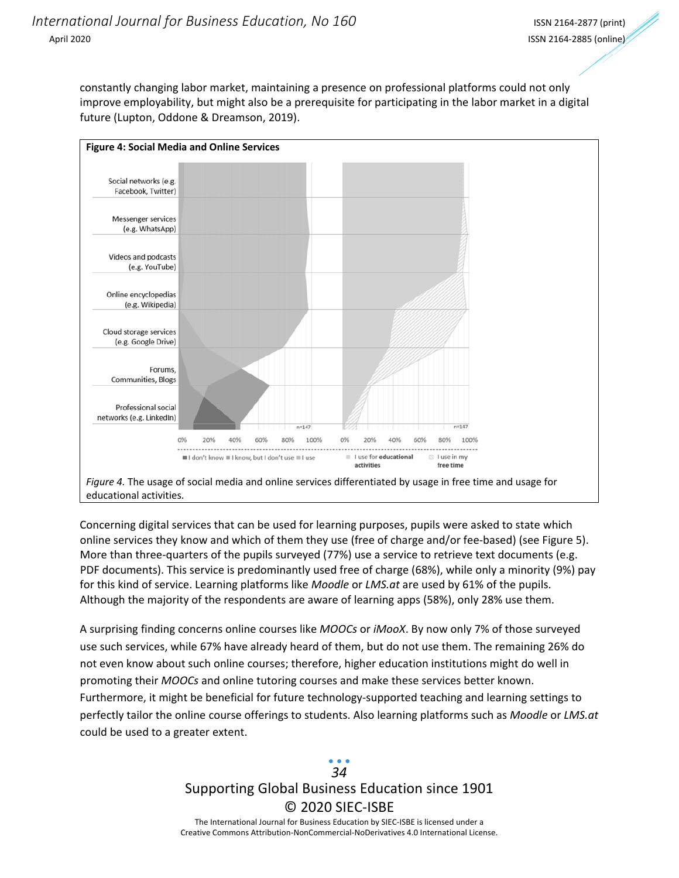constantly changing labor market, maintaining a presence on professional platforms could not only improve employability, but might also be a prerequisite for participating in the labor market in a digital future (Lupton, Oddone & Dreamson, 2019).



Concerning digital services that can be used for learning purposes, pupils were asked to state which online services they know and which of them they use (free of charge and/or fee‐based) (see Figure 5). More than three-quarters of the pupils surveyed (77%) use a service to retrieve text documents (e.g. PDF documents). This service is predominantly used free of charge (68%), while only a minority (9%) pay for this kind of service. Learning platforms like *Moodle* or *LMS.at* are used by 61% of the pupils. Although the majority of the respondents are aware of learning apps (58%), only 28% use them.

A surprising finding concerns online courses like *MOOCs* or *iMooX*. By now only 7% of those surveyed use such services, while 67% have already heard of them, but do not use them. The remaining 26% do not even know about such online courses; therefore, higher education institutions might do well in promoting their *MOOCs* and online tutoring courses and make these services better known. Furthermore, it might be beneficial for future technology‐supported teaching and learning settings to perfectly tailor the online course offerings to students. Also learning platforms such as *Moodle* or *LMS.at* could be used to a greater extent.

> Supporting Global Business Education since 1901 © 2020 SIEC‐ISBE The International Journal for Business Education by SIEC‐ISBE is licensed under a Creative Commons Attribution‐NonCommercial‐NoDerivatives 4.0 International License. *34*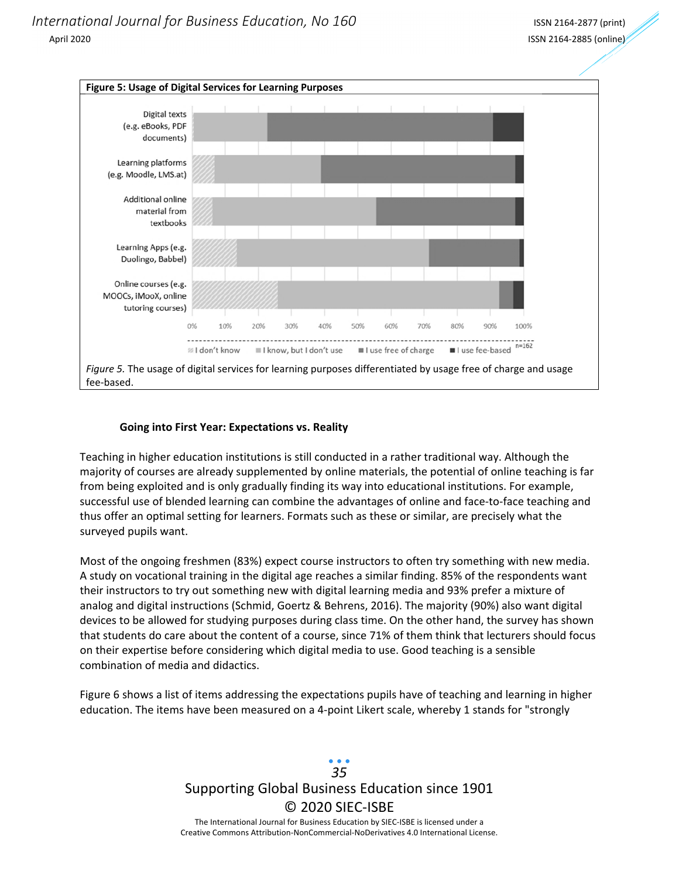

#### **Going into First Year: Expectations vs. Reality**

Teaching in higher education institutions is still conducted in a rather traditional way. Although the majority of courses are already supplemented by online materials, the potential of online teaching is far from being exploited and is only gradually finding its way into educational institutions. For example, successful use of blended learning can combine the advantages of online and face-to-face teaching and thus offer an optimal setting for learners. Formats such as these or similar, are precisely what the surveyed pupils want.

Most of the ongoing freshmen (83%) expect course instructors to often try something with new media. A study on vocational training in the digital age reaches a similar finding. 85% of the respondents want their instructors to try out something new with digital learning media and 93% prefer a mixture of analog and digital instructions (Schmid, Goertz & Behrens, 2016). The majority (90%) also want digital devices to be allowed for studying purposes during class time. On the other hand, the survey has shown that students do care about the content of a course, since 71% of them think that lecturers should focus on their expertise before considering which digital media to use. Good teaching is a sensible combination of media and didactics.

Figure 6 shows a list of items addressing the expectations pupils have of teaching and learning in higher education. The items have been measured on a 4‐point Likert scale, whereby 1 stands for "strongly

> Supporting Global Business Education since 1901 © 2020 SIEC‐ISBE The International Journal for Business Education by SIEC‐ISBE is licensed under a Creative Commons Attribution‐NonCommercial‐NoDerivatives 4.0 International License. *35*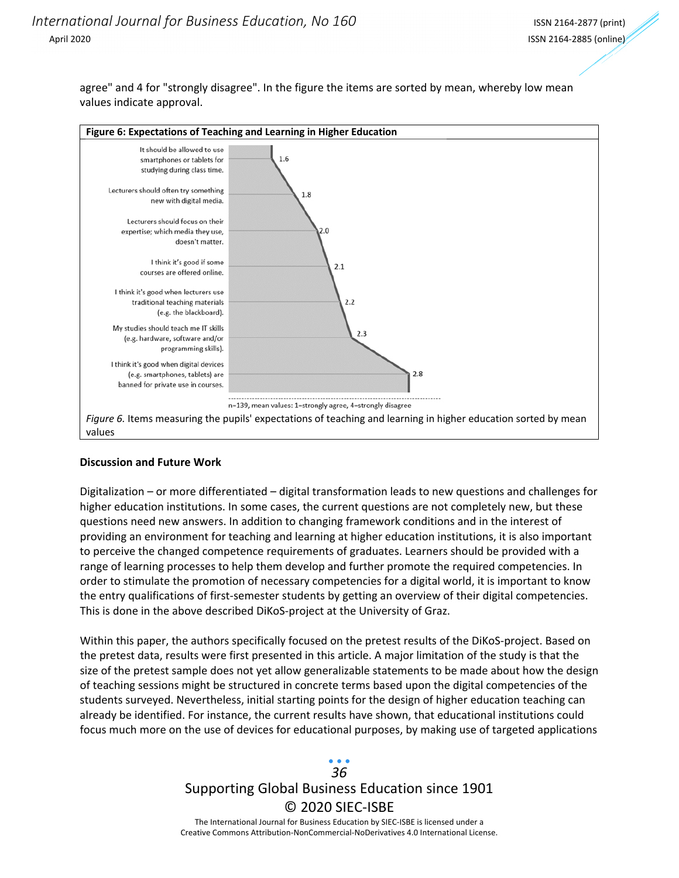agree" and 4 for "strongly disagree". In the figure the items are sorted by mean, whereby low mean values indicate approval.



#### **Discussion and Future Work**

Digitalization – or more differentiated – digital transformation leads to new questions and challenges for higher education institutions. In some cases, the current questions are not completely new, but these questions need new answers. In addition to changing framework conditions and in the interest of providing an environment for teaching and learning at higher education institutions, it is also important to perceive the changed competence requirements of graduates. Learners should be provided with a range of learning processes to help them develop and further promote the required competencies. In order to stimulate the promotion of necessary competencies for a digital world, it is important to know the entry qualifications of first-semester students by getting an overview of their digital competencies. This is done in the above described DiKoS‐project at the University of Graz.

Within this paper, the authors specifically focused on the pretest results of the DiKoS-project. Based on the pretest data, results were first presented in this article. A major limitation of the study is that the size of the pretest sample does not yet allow generalizable statements to be made about how the design of teaching sessions might be structured in concrete terms based upon the digital competencies of the students surveyed. Nevertheless, initial starting points for the design of higher education teaching can already be identified. For instance, the current results have shown, that educational institutions could focus much more on the use of devices for educational purposes, by making use of targeted applications

## Supporting Global Business Education since 1901 © 2020 SIEC‐ISBE The International Journal for Business Education by SIEC‐ISBE is licensed under a *36*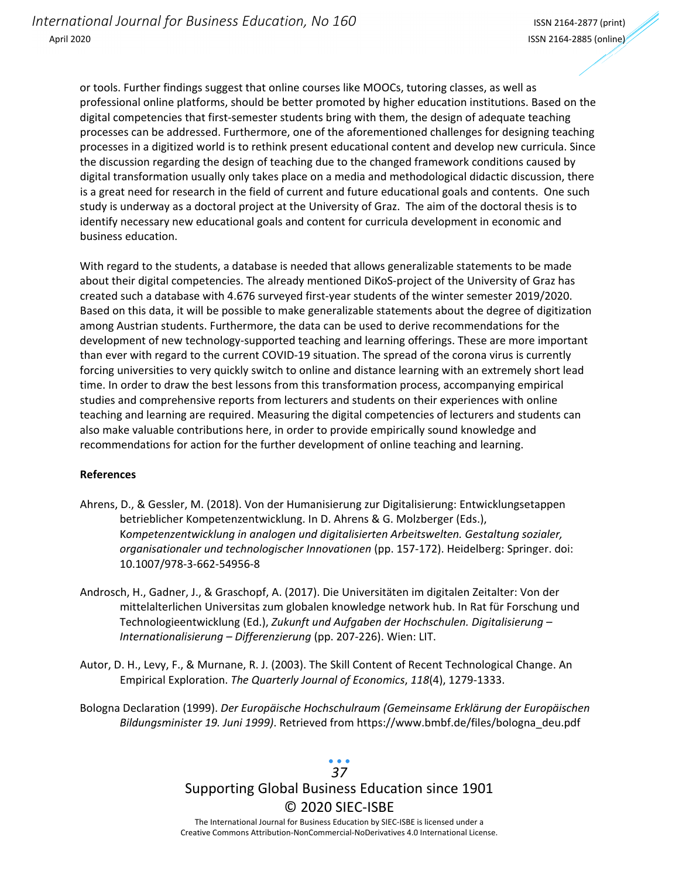or tools. Further findings suggest that online courses like MOOCs, tutoring classes, as well as professional online platforms, should be better promoted by higher education institutions. Based on the digital competencies that first-semester students bring with them, the design of adequate teaching processes can be addressed. Furthermore, one of the aforementioned challenges for designing teaching processes in a digitized world is to rethink present educational content and develop new curricula. Since the discussion regarding the design of teaching due to the changed framework conditions caused by digital transformation usually only takes place on a media and methodological didactic discussion, there is a great need for research in the field of current and future educational goals and contents. One such study is underway as a doctoral project at the University of Graz. The aim of the doctoral thesis is to identify necessary new educational goals and content for curricula development in economic and business education.

With regard to the students, a database is needed that allows generalizable statements to be made about their digital competencies. The already mentioned DiKoS‐project of the University of Graz has created such a database with 4.676 surveyed first‐year students of the winter semester 2019/2020. Based on this data, it will be possible to make generalizable statements about the degree of digitization among Austrian students. Furthermore, the data can be used to derive recommendations for the development of new technology‐supported teaching and learning offerings. These are more important than ever with regard to the current COVID‐19 situation. The spread of the corona virus is currently forcing universities to very quickly switch to online and distance learning with an extremely short lead time. In order to draw the best lessons from this transformation process, accompanying empirical studies and comprehensive reports from lecturers and students on their experiences with online teaching and learning are required. Measuring the digital competencies of lecturers and students can also make valuable contributions here, in order to provide empirically sound knowledge and recommendations for action for the further development of online teaching and learning.

#### **References**

- Ahrens, D., & Gessler, M. (2018). Von der Humanisierung zur Digitalisierung: Entwicklungsetappen betrieblicher Kompetenzentwicklung. In D. Ahrens & G. Molzberger (Eds.), K*ompetenzentwicklung in analogen und digitalisierten Arbeitswelten. Gestaltung sozialer, organisationaler und technologischer Innovationen* (pp. 157‐172). Heidelberg: Springer. doi: 10.1007/978‐3‐662‐54956‐8
- Androsch, H., Gadner, J., & Graschopf, A. (2017). Die Universitäten im digitalen Zeitalter: Von der mittelalterlichen Universitas zum globalen knowledge network hub. In Rat für Forschung und Technologieentwicklung (Ed.), *Zukunft und Aufgaben der Hochschulen. Digitalisierung – Internationalisierung – Differenzierung* (pp. 207‐226). Wien: LIT.
- Autor, D. H., Levy, F., & Murnane, R. J. (2003). The Skill Content of Recent Technological Change. An Empirical Exploration. *The Quarterly Journal of Economics*, *118*(4), 1279‐1333.

Bologna Declaration (1999). *Der Europäische Hochschulraum (Gemeinsame Erklärung der Europäischen Bildungsminister 19. Juni 1999)*. Retrieved from https://www.bmbf.de/files/bologna\_deu.pdf

## Supporting Global Business Education since 1901 © 2020 SIEC‐ISBE The International Journal for Business Education by SIEC‐ISBE is licensed under a *37*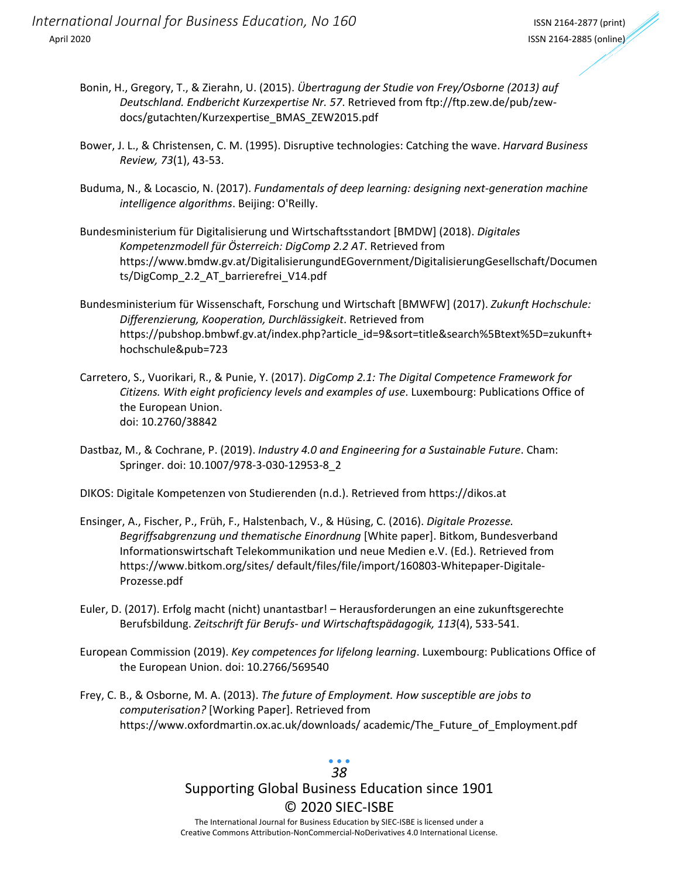- Bonin, H., Gregory, T., & Zierahn, U. (2015). *Übertragung der Studie von Frey/Osborne (2013) auf Deutschland. Endbericht Kurzexpertise Nr. 57*. Retrieved from ftp://ftp.zew.de/pub/zew‐ docs/gutachten/Kurzexpertise\_BMAS\_ZEW2015.pdf
- Bower, J. L., & Christensen, C. M. (1995). Disruptive technologies: Catching the wave. *Harvard Business Review, 73*(1), 43‐53.
- Buduma, N., & Locascio, N. (2017). *Fundamentals of deep learning: designing next‐generation machine intelligence algorithms*. Beijing: O'Reilly.
- Bundesministerium für Digitalisierung und Wirtschaftsstandort [BMDW] (2018). *Digitales Kompetenzmodell für Österreich: DigComp 2.2 AT*. Retrieved from https://www.bmdw.gv.at/DigitalisierungundEGovernment/DigitalisierungGesellschaft/Documen ts/DigComp\_2.2\_AT\_barrierefrei\_V14.pdf
- Bundesministerium für Wissenschaft, Forschung und Wirtschaft [BMWFW] (2017). *Zukunft Hochschule: Differenzierung, Kooperation, Durchlässigkeit*. Retrieved from https://pubshop.bmbwf.gv.at/index.php?article\_id=9&sort=title&search%5Btext%5D=zukunft+ hochschule&pub=723
- Carretero, S., Vuorikari, R., & Punie, Y. (2017). *DigComp 2.1: The Digital Competence Framework for Citizens. With eight proficiency levels and examples of use*. Luxembourg: Publications Office of the European Union. doi: 10.2760/38842
- Dastbaz, M., & Cochrane, P. (2019). *Industry 4.0 and Engineering for a Sustainable Future*. Cham: Springer. doi: 10.1007/978‐3‐030‐12953‐8\_2
- DIKOS: Digitale Kompetenzen von Studierenden (n.d.). Retrieved from https://dikos.at
- Ensinger, A., Fischer, P., Früh, F., Halstenbach, V., & Hüsing, C. (2016). *Digitale Prozesse. Begriffsabgrenzung und thematische Einordnung* [White paper]. Bitkom, Bundesverband Informationswirtschaft Telekommunikation und neue Medien e.V. (Ed.). Retrieved from https://www.bitkom.org/sites/ default/files/file/import/160803‐Whitepaper‐Digitale‐ Prozesse.pdf
- Euler, D. (2017). Erfolg macht (nicht) unantastbar! Herausforderungen an eine zukunftsgerechte Berufsbildung. *Zeitschrift für Berufs‐ und Wirtschaftspädagogik, 113*(4), 533‐541.
- European Commission (2019). *Key competences for lifelong learning*. Luxembourg: Publications Office of the European Union. doi: 10.2766/569540
- Frey, C. B., & Osborne, M. A. (2013). *The future of Employment. How susceptible are jobs to computerisation?* [Working Paper]. Retrieved from https://www.oxfordmartin.ox.ac.uk/downloads/ academic/The\_Future\_of\_Employment.pdf

# *38*

# Supporting Global Business Education since 1901 © 2020 SIEC‐ISBE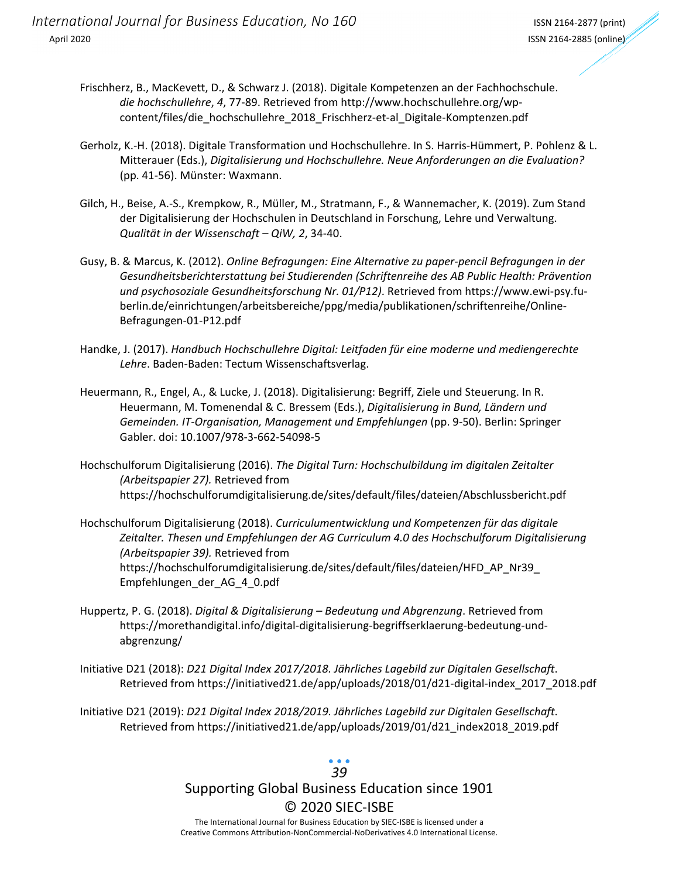- Frischherz, B., MacKevett, D., & Schwarz J. (2018). Digitale Kompetenzen an der Fachhochschule. *die hochschullehre*, *4*, 77‐89. Retrieved from http://www.hochschullehre.org/wp‐ content/files/die\_hochschullehre\_2018\_Frischherz-et-al\_Digitale-Komptenzen.pdf
- Gerholz, K.‐H. (2018). Digitale Transformation und Hochschullehre. In S. Harris‐Hümmert, P. Pohlenz & L. Mitterauer (Eds.), *Digitalisierung und Hochschullehre. Neue Anforderungen an die Evaluation?* (pp. 41‐56). Münster: Waxmann.
- Gilch, H., Beise, A.‐S., Krempkow, R., Müller, M., Stratmann, F., & Wannemacher, K. (2019). Zum Stand der Digitalisierung der Hochschulen in Deutschland in Forschung, Lehre und Verwaltung. *Qualität in der Wissenschaft – QiW, 2*, 34‐40.
- Gusy, B. & Marcus, K. (2012). *Online Befragungen: Eine Alternative zu paper‐pencil Befragungen in der Gesundheitsberichterstattung bei Studierenden (Schriftenreihe des AB Public Health: Prävention und psychosoziale Gesundheitsforschung Nr. 01/P12)*. Retrieved from https://www.ewi‐psy.fu‐ berlin.de/einrichtungen/arbeitsbereiche/ppg/media/publikationen/schriftenreihe/Online‐ Befragungen‐01‐P12.pdf
- Handke, J. (2017). *Handbuch Hochschullehre Digital: Leitfaden für eine moderne und mediengerechte Lehre*. Baden‐Baden: Tectum Wissenschaftsverlag.
- Heuermann, R., Engel, A., & Lucke, J. (2018). Digitalisierung: Begriff, Ziele und Steuerung. In R. Heuermann, M. Tomenendal & C. Bressem (Eds.), *Digitalisierung in Bund, Ländern und Gemeinden. IT‐Organisation, Management und Empfehlungen* (pp. 9‐50). Berlin: Springer Gabler. doi: 10.1007/978‐3‐662‐54098‐5
- Hochschulforum Digitalisierung (2016). *The Digital Turn: Hochschulbildung im digitalen Zeitalter (Arbeitspapier 27).* Retrieved from https://hochschulforumdigitalisierung.de/sites/default/files/dateien/Abschlussbericht.pdf
- Hochschulforum Digitalisierung (2018). *Curriculumentwicklung und Kompetenzen für das digitale Zeitalter. Thesen und Empfehlungen der AG Curriculum 4.0 des Hochschulforum Digitalisierung (Arbeitspapier 39).* Retrieved from https://hochschulforumdigitalisierung.de/sites/default/files/dateien/HFD\_AP\_Nr39\_ Empfehlungen\_der\_AG\_4\_0.pdf
- Huppertz, P. G. (2018). *Digital & Digitalisierung – Bedeutung und Abgrenzung*. Retrieved from https://morethandigital.info/digital‐digitalisierung‐begriffserklaerung‐bedeutung‐und‐ abgrenzung/
- Initiative D21 (2018): *D21 Digital Index 2017/2018. Jährliches Lagebild zur Digitalen Gesellschaft*. Retrieved from https://initiatived21.de/app/uploads/2018/01/d21-digital-index\_2017\_2018.pdf

Initiative D21 (2019): *D21 Digital Index 2018/2019. Jährliches Lagebild zur Digitalen Gesellschaft*. Retrieved from https://initiatived21.de/app/uploads/2019/01/d21\_index2018\_2019.pdf

# *39*

# Supporting Global Business Education since 1901 © 2020 SIEC‐ISBE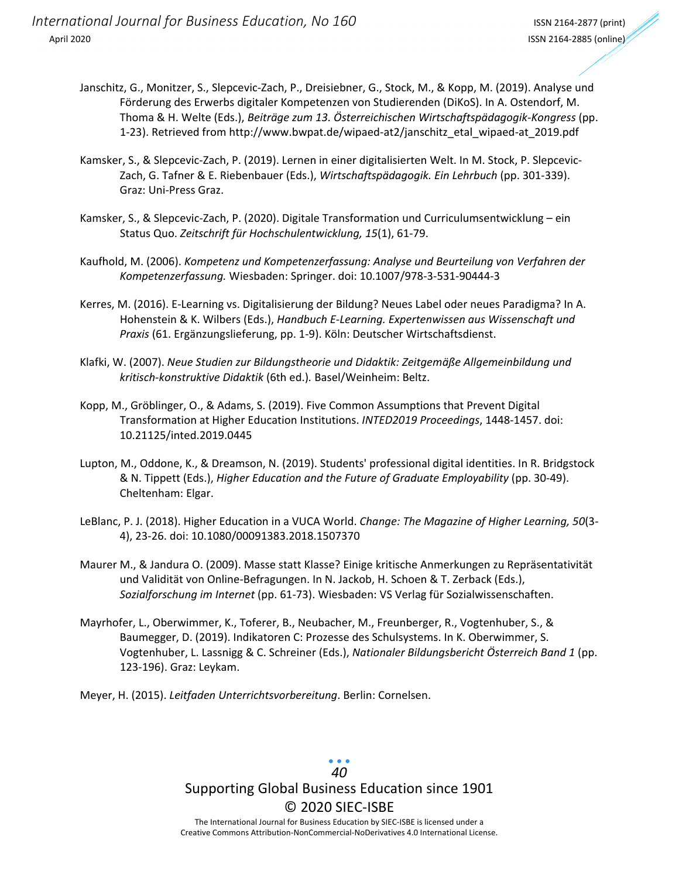- Janschitz, G., Monitzer, S., Slepcevic‐Zach, P., Dreisiebner, G., Stock, M., & Kopp, M. (2019). Analyse und Förderung des Erwerbs digitaler Kompetenzen von Studierenden (DiKoS). In A. Ostendorf, M. Thoma & H. Welte (Eds.), *Beiträge zum 13. Österreichischen Wirtschaftspädagogik‐Kongress* (pp. 1‐23). Retrieved from http://www.bwpat.de/wipaed‐at2/janschitz\_etal\_wipaed‐at\_2019.pdf
- Kamsker, S., & Slepcevic‐Zach, P. (2019). Lernen in einer digitalisierten Welt. In M. Stock, P. Slepcevic‐ Zach, G. Tafner & E. Riebenbauer (Eds.), *Wirtschaftspädagogik. Ein Lehrbuch* (pp. 301‐339). Graz: Uni‐Press Graz.
- Kamsker, S., & Slepcevic‐Zach, P. (2020). Digitale Transformation und Curriculumsentwicklung ein Status Quo. *Zeitschrift für Hochschulentwicklung, 15*(1), 61‐79.
- Kaufhold, M. (2006). *Kompetenz und Kompetenzerfassung: Analyse und Beurteilung von Verfahren der Kompetenzerfassung.* Wiesbaden: Springer. doi: 10.1007/978‐3‐531‐90444‐3
- Kerres, M. (2016). E‐Learning vs. Digitalisierung der Bildung? Neues Label oder neues Paradigma? In A. Hohenstein & K. Wilbers (Eds.), *Handbuch E‐Learning. Expertenwissen aus Wissenschaft und Praxis* (61. Ergänzungslieferung, pp. 1‐9). Köln: Deutscher Wirtschaftsdienst.
- Klafki, W. (2007). *Neue Studien zur Bildungstheorie und Didaktik: Zeitgemäße Allgemeinbildung und kritisch‐konstruktive Didaktik* (6th ed.)*.* Basel/Weinheim: Beltz.
- Kopp, M., Gröblinger, O., & Adams, S. (2019). Five Common Assumptions that Prevent Digital Transformation at Higher Education Institutions. *INTED2019 Proceedings*, 1448‐1457. doi: 10.21125/inted.2019.0445
- Lupton, M., Oddone, K., & Dreamson, N. (2019). Students' professional digital identities. In R. Bridgstock & N. Tippett (Eds.), *Higher Education and the Future of Graduate Employability* (pp. 30‐49). Cheltenham: Elgar.
- LeBlanc, P. J. (2018). Higher Education in a VUCA World. *Change: The Magazine of Higher Learning, 50*(3‐ 4), 23‐26. doi: 10.1080/00091383.2018.1507370
- Maurer M., & Jandura O. (2009). Masse statt Klasse? Einige kritische Anmerkungen zu Repräsentativität und Validität von Online‐Befragungen. In N. Jackob, H. Schoen & T. Zerback (Eds.), *Sozialforschung im Internet* (pp. 61‐73). Wiesbaden: VS Verlag für Sozialwissenschaften.
- Mayrhofer, L., Oberwimmer, K., Toferer, B., Neubacher, M., Freunberger, R., Vogtenhuber, S., & Baumegger, D. (2019). Indikatoren C: Prozesse des Schulsystems. In K. Oberwimmer, S. Vogtenhuber, L. Lassnigg & C. Schreiner (Eds.), *Nationaler Bildungsbericht Österreich Band 1* (pp. 123‐196). Graz: Leykam.
- Meyer, H. (2015). *Leitfaden Unterrichtsvorbereitung*. Berlin: Cornelsen.

## Supporting Global Business Education since 1901 © 2020 SIEC‐ISBE The International Journal for Business Education by SIEC‐ISBE is licensed under a *40*